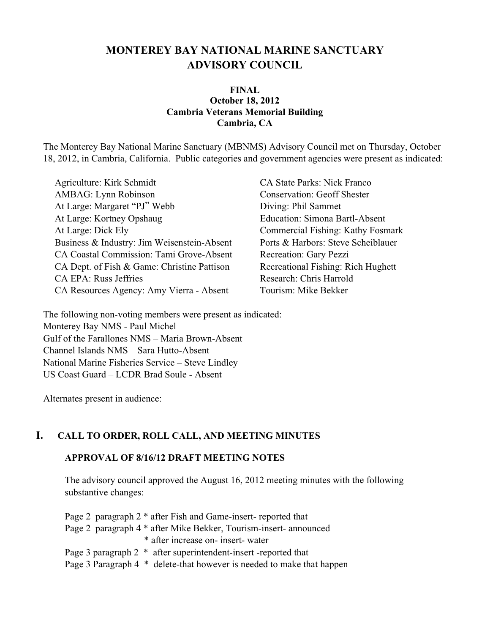# **MONTEREY BAY NATIONAL MARINE SANCTUARY ADVISORY COUNCIL**

#### **FINAL October 18, 2012 Cambria Veterans Memorial Building Cambria, CA**

The Monterey Bay National Marine Sanctuary (MBNMS) Advisory Council met on Thursday, October 18, 2012, in Cambria, California. Public categories and government agencies were present as indicated:

Agriculture: Kirk Schmidt CA State Parks: Nick Franco AMBAG: Lynn Robinson Conservation: Geoff Shester At Large: Margaret "PJ" Webb Diving: Phil Sammet At Large: Kortney Opshaug Education: Simona Bartl-Absent At Large: Dick Ely Commercial Fishing: Kathy Fosmark Business & Industry: Jim Weisenstein-Absent Ports & Harbors: Steve Scheiblauer CA Coastal Commission: Tami Grove-Absent Recreation: Gary Pezzi CA Dept. of Fish & Game: Christine Pattison Recreational Fishing: Rich Hughett CA EPA: Russ Jeffries Research: Chris Harrold CA Resources Agency: Amy Vierra - Absent Tourism: Mike Bekker

The following non-voting members were present as indicated: Monterey Bay NMS - Paul Michel Gulf of the Farallones NMS – Maria Brown-Absent Channel Islands NMS – Sara Hutto-Absent National Marine Fisheries Service – Steve Lindley US Coast Guard – LCDR Brad Soule - Absent

Alternates present in audience:

### **I. CALL TO ORDER, ROLL CALL, AND MEETING MINUTES**

#### **APPROVAL OF 8/16/12 DRAFT MEETING NOTES**

The advisory council approved the August 16, 2012 meeting minutes with the following substantive changes:

Page 2 paragraph 2 \* after Fish and Game-insert- reported that Page 2 paragraph 4 \* after Mike Bekker, Tourism-insert- announced \* after increase on- insert- water Page 3 paragraph 2 \* after superintendent-insert -reported that Page 3 Paragraph 4 \* delete-that however is needed to make that happen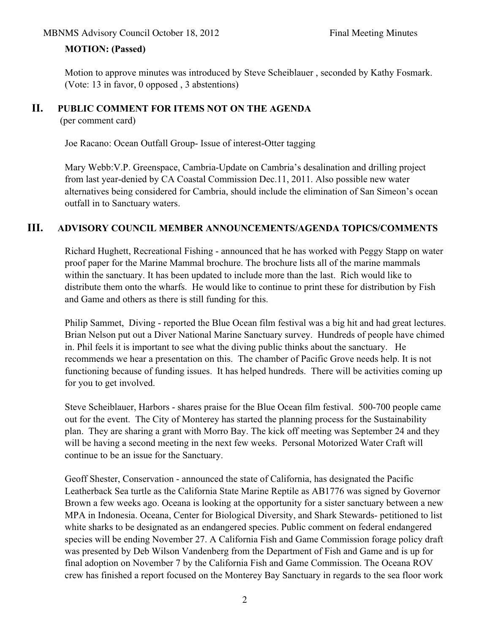### **MOTION: (Passed)**

Motion to approve minutes was introduced by Steve Scheiblauer , seconded by Kathy Fosmark. (Vote: 13 in favor, 0 opposed , 3 abstentions)

### **II. PUBLIC COMMENT FOR ITEMS NOT ON THE AGENDA**

(per comment card)

Joe Racano: Ocean Outfall Group- Issue of interest-Otter tagging

Mary Webb:V.P. Greenspace, Cambria-Update on Cambria's desalination and drilling project from last year-denied by CA Coastal Commission Dec.11, 2011. Also possible new water alternatives being considered for Cambria, should include the elimination of San Simeon's ocean outfall in to Sanctuary waters.

### **III. ADVISORY COUNCIL MEMBER ANNOUNCEMENTS/AGENDA TOPICS/COMMENTS**

Richard Hughett, Recreational Fishing - announced that he has worked with Peggy Stapp on water proof paper for the Marine Mammal brochure. The brochure lists all of the marine mammals within the sanctuary. It has been updated to include more than the last. Rich would like to distribute them onto the wharfs. He would like to continue to print these for distribution by Fish and Game and others as there is still funding for this.

Philip Sammet, Diving - reported the Blue Ocean film festival was a big hit and had great lectures. Brian Nelson put out a Diver National Marine Sanctuary survey. Hundreds of people have chimed in. Phil feels it is important to see what the diving public thinks about the sanctuary. He recommends we hear a presentation on this. The chamber of Pacific Grove needs help. It is not functioning because of funding issues. It has helped hundreds. There will be activities coming up for you to get involved.

Steve Scheiblauer, Harbors - shares praise for the Blue Ocean film festival. 500-700 people came out for the event. The City of Monterey has started the planning process for the Sustainability plan. They are sharing a grant with Morro Bay. The kick off meeting was September 24 and they will be having a second meeting in the next few weeks. Personal Motorized Water Craft will continue to be an issue for the Sanctuary.

Geoff Shester, Conservation - announced the state of California, has designated the Pacific Leatherback Sea turtle as the California State Marine Reptile as AB1776 was signed by Governor Brown a few weeks ago. Oceana is looking at the opportunity for a sister sanctuary between a new MPA in Indonesia. Oceana, Center for Biological Diversity, and Shark Stewards- petitioned to list white sharks to be designated as an endangered species. Public comment on federal endangered species will be ending November 27. A California Fish and Game Commission forage policy draft was presented by Deb Wilson Vandenberg from the Department of Fish and Game and is up for final adoption on November 7 by the California Fish and Game Commission. The Oceana ROV crew has finished a report focused on the Monterey Bay Sanctuary in regards to the sea floor work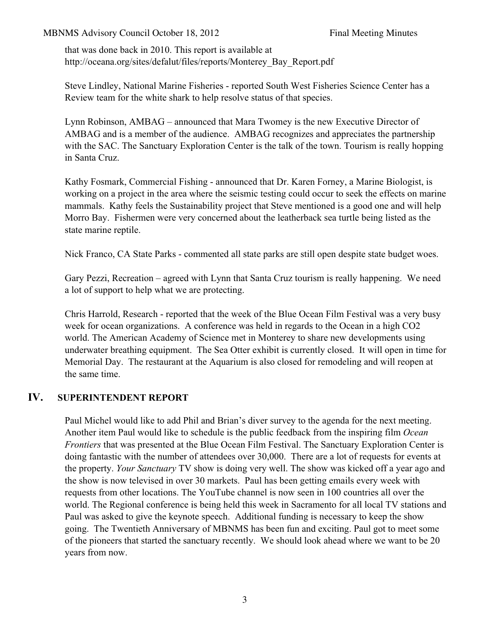that was done back in 2010. This report is available at http://oceana.org/sites/defalut/files/reports/Monterey\_Bay\_Report.pdf

Steve Lindley, National Marine Fisheries - reported South West Fisheries Science Center has a Review team for the white shark to help resolve status of that species.

Lynn Robinson, AMBAG – announced that Mara Twomey is the new Executive Director of AMBAG and is a member of the audience. AMBAG recognizes and appreciates the partnership with the SAC. The Sanctuary Exploration Center is the talk of the town. Tourism is really hopping in Santa Cruz.

Kathy Fosmark, Commercial Fishing - announced that Dr. Karen Forney, a Marine Biologist, is working on a project in the area where the seismic testing could occur to seek the effects on marine mammals. Kathy feels the Sustainability project that Steve mentioned is a good one and will help Morro Bay. Fishermen were very concerned about the leatherback sea turtle being listed as the state marine reptile.

Nick Franco, CA State Parks - commented all state parks are still open despite state budget woes.

Gary Pezzi, Recreation – agreed with Lynn that Santa Cruz tourism is really happening. We need a lot of support to help what we are protecting.

Chris Harrold, Research - reported that the week of the Blue Ocean Film Festival was a very busy week for ocean organizations. A conference was held in regards to the Ocean in a high CO2 world. The American Academy of Science met in Monterey to share new developments using underwater breathing equipment. The Sea Otter exhibit is currently closed. It will open in time for Memorial Day. The restaurant at the Aquarium is also closed for remodeling and will reopen at the same time.

### **IV. SUPERINTENDENT REPORT**

Paul Michel would like to add Phil and Brian's diver survey to the agenda for the next meeting. Another item Paul would like to schedule is the public feedback from the inspiring film *Ocean Frontiers* that was presented at the Blue Ocean Film Festival. The Sanctuary Exploration Center is doing fantastic with the number of attendees over 30,000. There are a lot of requests for events at the property. *Your Sanctuary* TV show is doing very well. The show was kicked off a year ago and the show is now televised in over 30 markets. Paul has been getting emails every week with requests from other locations. The YouTube channel is now seen in 100 countries all over the world. The Regional conference is being held this week in Sacramento for all local TV stations and Paul was asked to give the keynote speech. Additional funding is necessary to keep the show going. The Twentieth Anniversary of MBNMS has been fun and exciting. Paul got to meet some of the pioneers that started the sanctuary recently. We should look ahead where we want to be 20 years from now.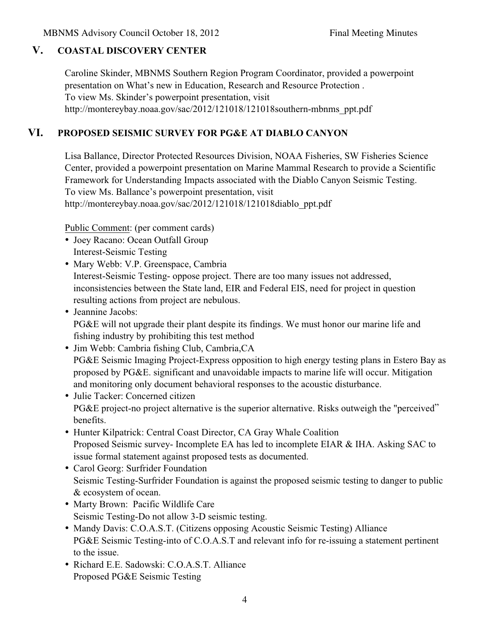## **V. COASTAL DISCOVERY CENTER**

Caroline Skinder, MBNMS Southern Region Program Coordinator, provided a powerpoint presentation on What's new in Education, Research and Resource Protection . To view Ms. Skinder's powerpoint presentation, visit http://montereybay.noaa.gov/sac/2012/121018/121018southern-mbnms\_ppt.pdf

## **VI. PROPOSED SEISMIC SURVEY FOR PG&E AT DIABLO CANYON**

Lisa Ballance, Director Protected Resources Division, NOAA Fisheries, SW Fisheries Science Center, provided a powerpoint presentation on Marine Mammal Research to provide a Scientific Framework for Understanding Impacts associated with the Diablo Canyon Seismic Testing. To view Ms. Ballance's powerpoint presentation, visit http://montereybay.noaa.gov/sac/2012/121018/121018diablo\_ppt.pdf

Public Comment: (per comment cards)

- Joey Racano: Ocean Outfall Group Interest-Seismic Testing
- Mary Webb: V.P. Greenspace, Cambria Interest-Seismic Testing- oppose project. There are too many issues not addressed, inconsistencies between the State land, EIR and Federal EIS, need for project in question resulting actions from project are nebulous.
- Jeannine Jacobs: PG&E will not upgrade their plant despite its findings. We must honor our marine life and fishing industry by prohibiting this test method
- Jim Webb: Cambria fishing Club, Cambria,CA PG&E Seismic Imaging Project-Express opposition to high energy testing plans in Estero Bay as proposed by PG&E. significant and unavoidable impacts to marine life will occur. Mitigation and monitoring only document behavioral responses to the acoustic disturbance.
- Julie Tacker: Concerned citizen PG&E project-no project alternative is the superior alternative. Risks outweigh the "perceived" benefits.
- Hunter Kilpatrick: Central Coast Director, CA Gray Whale Coalition Proposed Seismic survey- Incomplete EA has led to incomplete EIAR & IHA. Asking SAC to issue formal statement against proposed tests as documented.
- Carol Georg: Surfrider Foundation Seismic Testing-Surfrider Foundation is against the proposed seismic testing to danger to public & ecosystem of ocean.
- Marty Brown: Pacific Wildlife Care Seismic Testing-Do not allow 3-D seismic testing.
- Mandy Davis: C.O.A.S.T. (Citizens opposing Acoustic Seismic Testing) Alliance PG&E Seismic Testing-into of C.O.A.S.T and relevant info for re-issuing a statement pertinent to the issue.
- Richard E.E. Sadowski: C.O.A.S.T. Alliance Proposed PG&E Seismic Testing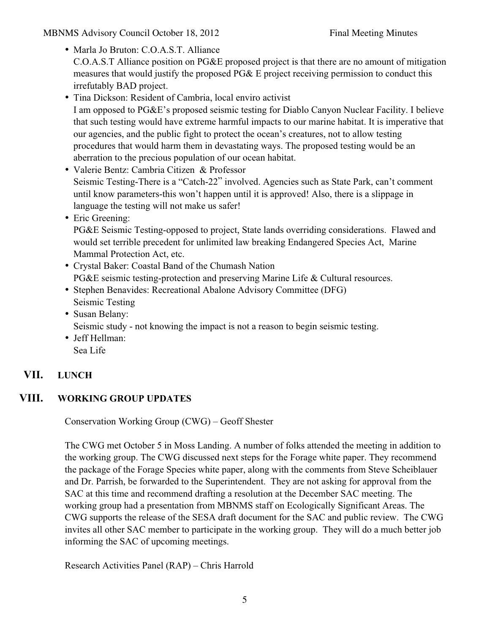- Marla Jo Bruton: C.O.A.S.T. Alliance C.O.A.S.T Alliance position on PG&E proposed project is that there are no amount of mitigation measures that would justify the proposed PG& E project receiving permission to conduct this irrefutably BAD project.
- Tina Dickson: Resident of Cambria, local enviro activist I am opposed to PG&E's proposed seismic testing for Diablo Canyon Nuclear Facility. I believe that such testing would have extreme harmful impacts to our marine habitat. It is imperative that our agencies, and the public fight to protect the ocean's creatures, not to allow testing procedures that would harm them in devastating ways. The proposed testing would be an aberration to the precious population of our ocean habitat.
- Valerie Bentz: Cambria Citizen & Professor Seismic Testing-There is a "Catch-22" involved. Agencies such as State Park, can't comment until know parameters-this won't happen until it is approved! Also, there is a slippage in language the testing will not make us safer!
- Eric Greening:

PG&E Seismic Testing-opposed to project, State lands overriding considerations. Flawed and would set terrible precedent for unlimited law breaking Endangered Species Act, Marine Mammal Protection Act, etc.

- Crystal Baker: Coastal Band of the Chumash Nation PG&E seismic testing-protection and preserving Marine Life & Cultural resources.
- Stephen Benavides: Recreational Abalone Advisory Committee (DFG) Seismic Testing
- Susan Belany: Seismic study - not knowing the impact is not a reason to begin seismic testing.
- Jeff Hellman: Sea Life

# **VII. LUNCH**

## **VIII. WORKING GROUP UPDATES**

Conservation Working Group (CWG) – Geoff Shester

The CWG met October 5 in Moss Landing. A number of folks attended the meeting in addition to the working group. The CWG discussed next steps for the Forage white paper. They recommend the package of the Forage Species white paper, along with the comments from Steve Scheiblauer and Dr. Parrish, be forwarded to the Superintendent. They are not asking for approval from the SAC at this time and recommend drafting a resolution at the December SAC meeting. The working group had a presentation from MBNMS staff on Ecologically Significant Areas. The CWG supports the release of the SESA draft document for the SAC and public review. The CWG invites all other SAC member to participate in the working group. They will do a much better job informing the SAC of upcoming meetings.

Research Activities Panel (RAP) – Chris Harrold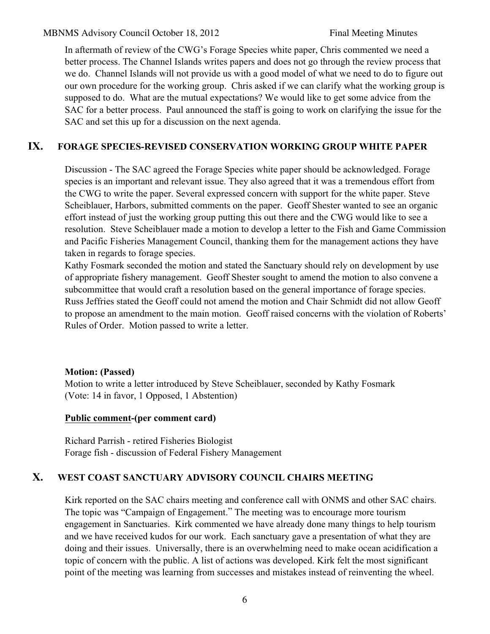In aftermath of review of the CWG's Forage Species white paper, Chris commented we need a better process. The Channel Islands writes papers and does not go through the review process that we do. Channel Islands will not provide us with a good model of what we need to do to figure out our own procedure for the working group. Chris asked if we can clarify what the working group is supposed to do. What are the mutual expectations? We would like to get some advice from the SAC for a better process. Paul announced the staff is going to work on clarifying the issue for the SAC and set this up for a discussion on the next agenda.

## **IX. FORAGE SPECIES-REVISED CONSERVATION WORKING GROUP WHITE PAPER**

Discussion - The SAC agreed the Forage Species white paper should be acknowledged. Forage species is an important and relevant issue. They also agreed that it was a tremendous effort from the CWG to write the paper. Several expressed concern with support for the white paper. Steve Scheiblauer, Harbors, submitted comments on the paper. Geoff Shester wanted to see an organic effort instead of just the working group putting this out there and the CWG would like to see a resolution. Steve Scheiblauer made a motion to develop a letter to the Fish and Game Commission and Pacific Fisheries Management Council, thanking them for the management actions they have taken in regards to forage species.

Kathy Fosmark seconded the motion and stated the Sanctuary should rely on development by use of appropriate fishery management. Geoff Shester sought to amend the motion to also convene a subcommittee that would craft a resolution based on the general importance of forage species. Russ Jeffries stated the Geoff could not amend the motion and Chair Schmidt did not allow Geoff to propose an amendment to the main motion. Geoff raised concerns with the violation of Roberts' Rules of Order. Motion passed to write a letter.

### **Motion: (Passed)**

Motion to write a letter introduced by Steve Scheiblauer, seconded by Kathy Fosmark (Vote: 14 in favor, 1 Opposed, 1 Abstention)

### **Public comment-(per comment card)**

Richard Parrish - retired Fisheries Biologist Forage fish - discussion of Federal Fishery Management

## **X. WEST COAST SANCTUARY ADVISORY COUNCIL CHAIRS MEETING**

Kirk reported on the SAC chairs meeting and conference call with ONMS and other SAC chairs. The topic was "Campaign of Engagement." The meeting was to encourage more tourism engagement in Sanctuaries. Kirk commented we have already done many things to help tourism and we have received kudos for our work. Each sanctuary gave a presentation of what they are doing and their issues. Universally, there is an overwhelming need to make ocean acidification a topic of concern with the public. A list of actions was developed. Kirk felt the most significant point of the meeting was learning from successes and mistakes instead of reinventing the wheel.